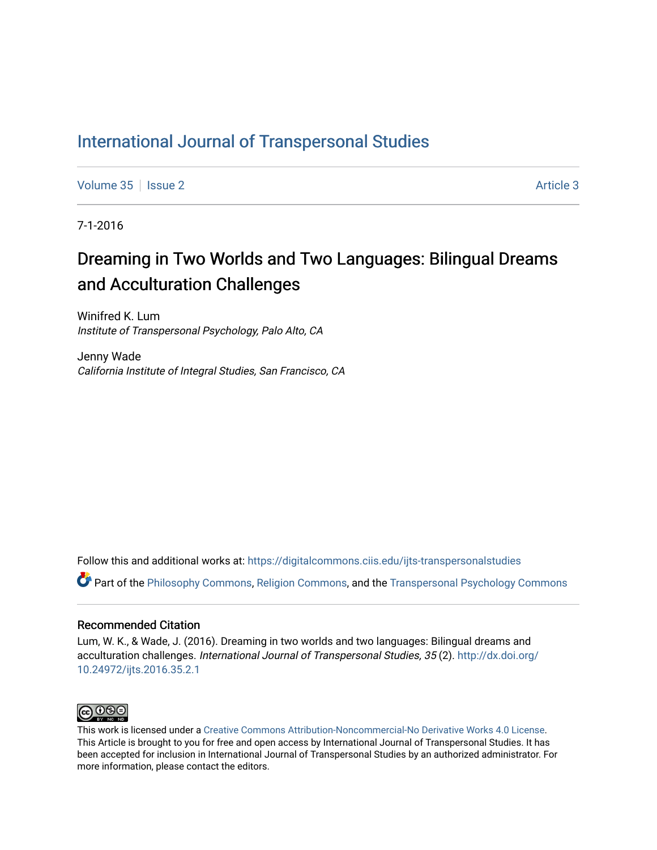# [International Journal of Transpersonal Studies](https://digitalcommons.ciis.edu/ijts-transpersonalstudies)

[Volume 35](https://digitalcommons.ciis.edu/ijts-transpersonalstudies/vol35) | [Issue 2](https://digitalcommons.ciis.edu/ijts-transpersonalstudies/vol35/iss2) Article 3

7-1-2016

# Dreaming in Two Worlds and Two Languages: Bilingual Dreams and Acculturation Challenges

Winifred K. Lum Institute of Transpersonal Psychology, Palo Alto, CA

Jenny Wade California Institute of Integral Studies, San Francisco, CA

Follow this and additional works at: [https://digitalcommons.ciis.edu/ijts-transpersonalstudies](https://digitalcommons.ciis.edu/ijts-transpersonalstudies?utm_source=digitalcommons.ciis.edu%2Fijts-transpersonalstudies%2Fvol35%2Fiss2%2F3&utm_medium=PDF&utm_campaign=PDFCoverPages) 

Part of the [Philosophy Commons,](http://network.bepress.com/hgg/discipline/525?utm_source=digitalcommons.ciis.edu%2Fijts-transpersonalstudies%2Fvol35%2Fiss2%2F3&utm_medium=PDF&utm_campaign=PDFCoverPages) [Religion Commons,](http://network.bepress.com/hgg/discipline/538?utm_source=digitalcommons.ciis.edu%2Fijts-transpersonalstudies%2Fvol35%2Fiss2%2F3&utm_medium=PDF&utm_campaign=PDFCoverPages) and the [Transpersonal Psychology Commons](http://network.bepress.com/hgg/discipline/1388?utm_source=digitalcommons.ciis.edu%2Fijts-transpersonalstudies%2Fvol35%2Fiss2%2F3&utm_medium=PDF&utm_campaign=PDFCoverPages)

# Recommended Citation

Lum, W. K., & Wade, J. (2016). Dreaming in two worlds and two languages: Bilingual dreams and acculturation challenges. International Journal of Transpersonal Studies, 35 (2). [http://dx.doi.org/](http://dx.doi.org/10.24972/ijts.2016.35.2.1) [10.24972/ijts.2016.35.2.1](http://dx.doi.org/10.24972/ijts.2016.35.2.1) 



This work is licensed under a [Creative Commons Attribution-Noncommercial-No Derivative Works 4.0 License.](https://creativecommons.org/licenses/by-nc-nd/4.0/) This Article is brought to you for free and open access by International Journal of Transpersonal Studies. It has been accepted for inclusion in International Journal of Transpersonal Studies by an authorized administrator. For more information, please contact the editors.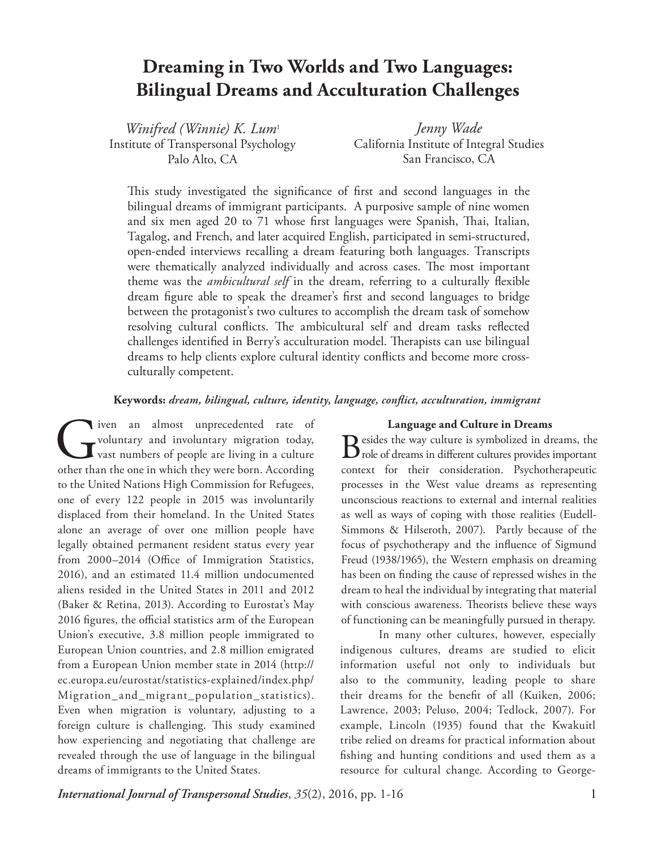# **Dreaming in Two Worlds and Two Languages: Bilingual Dreams and Acculturation Challenges**

*Winifred (Winnie) K. Lum*<sup>1</sup> Institute of Transpersonal Psychology Palo Alto, CA

*Jenny Wade* California Institute of Integral Studies San Francisco, CA

This study investigated the significance of first and second languages in the bilingual dreams of immigrant participants. A purposive sample of nine women and six men aged 20 to 71 whose first languages were Spanish, Thai, Italian, Tagalog, and French, and later acquired English, participated in semi-structured, open-ended interviews recalling a dream featuring both languages. Transcripts were thematically analyzed individually and across cases. The most important theme was the *ambicultural self* in the dream, referring to a culturally flexible dream figure able to speak the dreamer's first and second languages to bridge between the protagonist's two cultures to accomplish the dream task of somehow resolving cultural conflicts. The ambicultural self and dream tasks reflected challenges identified in Berry's acculturation model. Therapists can use bilingual dreams to help clients explore cultural identity conflicts and become more crossculturally competent.

# **Keywords:** *dream, bilingual, culture, identity, language, conflict, acculturation, immigrant*

I ven an almost unprecedented rate of voluntary and involuntary migration today, vast numbers of people are living in a culture other than the one in which they were born. According voluntary and involuntary migration today, vast numbers of people are living in a culture other than the one in which they were born. According to the United Nations High Commission for Refugees, one of every 122 people in 2015 was involuntarily displaced from their homeland. In the United States alone an average of over one million people have legally obtained permanent resident status every year from 2000–2014 (Office of Immigration Statistics, 2016), and an estimated 11.4 million undocumented aliens resided in the United States in 2011 and 2012 (Baker & Retina, 2013). According to Eurostat's May 2016 figures, the official statistics arm of the European Union's executive, 3.8 million people immigrated to European Union countries, and 2.8 million emigrated from a European Union member state in 2014 (http:// ec.europa.eu/eurostat/statistics-explained/index.php/ Migration\_and\_migrant\_population\_statistics). Even when migration is voluntary, adjusting to a foreign culture is challenging. This study examined how experiencing and negotiating that challenge are revealed through the use of language in the bilingual dreams of immigrants to the United States.

## **Language and Culture in Dreams**

 $B$ esides the way culture is symbolized in dreams, the role of dreams in different cultures provides important context for their consideration. Psychotherapeutic processes in the West value dreams as representing unconscious reactions to external and internal realities as well as ways of coping with those realities (Eudell-Simmons & Hilseroth, 2007). Partly because of the focus of psychotherapy and the influence of Sigmund Freud (1938/1965), the Western emphasis on dreaming has been on finding the cause of repressed wishes in the dream to heal the individual by integrating that material with conscious awareness. Theorists believe these ways of functioning can be meaningfully pursued in therapy.

In many other cultures, however, especially indigenous cultures, dreams are studied to elicit information useful not only to individuals but also to the community, leading people to share their dreams for the benefit of all (Kuiken, 2006; Lawrence, 2003; Peluso, 2004; Tedlock, 2007). For example, Lincoln (1935) found that the Kwakuitl tribe relied on dreams for practical information about fishing and hunting conditions and used them as a resource for cultural change. According to George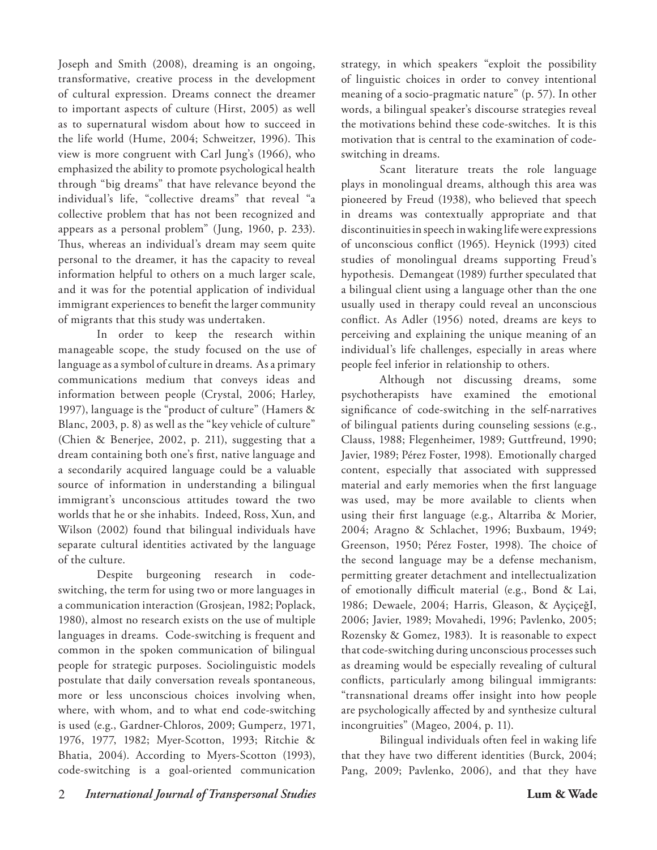Joseph and Smith (2008), dreaming is an ongoing, transformative, creative process in the development of cultural expression. Dreams connect the dreamer to important aspects of culture (Hirst, 2005) as well as to supernatural wisdom about how to succeed in the life world (Hume, 2004; Schweitzer, 1996). This view is more congruent with Carl Jung's (1966), who emphasized the ability to promote psychological health through "big dreams" that have relevance beyond the individual's life, "collective dreams" that reveal "a collective problem that has not been recognized and appears as a personal problem" (Jung, 1960, p. 233). Thus, whereas an individual's dream may seem quite personal to the dreamer, it has the capacity to reveal information helpful to others on a much larger scale, and it was for the potential application of individual immigrant experiences to benefit the larger community of migrants that this study was undertaken.

In order to keep the research within manageable scope, the study focused on the use of language as a symbol of culture in dreams. As a primary communications medium that conveys ideas and information between people (Crystal, 2006; Harley, 1997), language is the "product of culture" (Hamers & Blanc, 2003, p. 8) as well as the "key vehicle of culture" (Chien & Benerjee, 2002, p. 211), suggesting that a dream containing both one's first, native language and a secondarily acquired language could be a valuable source of information in understanding a bilingual immigrant's unconscious attitudes toward the two worlds that he or she inhabits. Indeed, Ross, Xun, and Wilson (2002) found that bilingual individuals have separate cultural identities activated by the language of the culture.

Despite burgeoning research in codeswitching, the term for using two or more languages in a communication interaction (Grosjean, 1982; Poplack, 1980), almost no research exists on the use of multiple languages in dreams. Code-switching is frequent and common in the spoken communication of bilingual people for strategic purposes. Sociolinguistic models postulate that daily conversation reveals spontaneous, more or less unconscious choices involving when, where, with whom, and to what end code-switching is used (e.g., Gardner-Chloros, 2009; Gumperz, 1971, 1976, 1977, 1982; Myer-Scotton, 1993; Ritchie & Bhatia, 2004). According to Myers-Scotton (1993), code-switching is a goal-oriented communication

strategy, in which speakers "exploit the possibility of linguistic choices in order to convey intentional meaning of a socio-pragmatic nature" (p. 57). In other words, a bilingual speaker's discourse strategies reveal the motivations behind these code-switches. It is this motivation that is central to the examination of codeswitching in dreams.

Scant literature treats the role language plays in monolingual dreams, although this area was pioneered by Freud (1938), who believed that speech in dreams was contextually appropriate and that discontinuities in speech in waking life were expressions of unconscious conflict (1965). Heynick (1993) cited studies of monolingual dreams supporting Freud's hypothesis. Demangeat (1989) further speculated that a bilingual client using a language other than the one usually used in therapy could reveal an unconscious conflict. As Adler (1956) noted, dreams are keys to perceiving and explaining the unique meaning of an individual's life challenges, especially in areas where people feel inferior in relationship to others.

Although not discussing dreams, some psychotherapists have examined the emotional significance of code-switching in the self-narratives of bilingual patients during counseling sessions (e.g., Clauss, 1988; Flegenheimer, 1989; Guttfreund, 1990; Javier, 1989; Pérez Foster, 1998). Emotionally charged content, especially that associated with suppressed material and early memories when the first language was used, may be more available to clients when using their first language (e.g., Altarriba & Morier, 2004; Aragno & Schlachet, 1996; Buxbaum, 1949; Greenson, 1950; Pérez Foster, 1998). The choice of the second language may be a defense mechanism, permitting greater detachment and intellectualization of emotionally difficult material (e.g., Bond & Lai, 1986; Dewaele, 2004; Harris, Gleason, & AyçiçeğI, 2006; Javier, 1989; Movahedi, 1996; Pavlenko, 2005; Rozensky & Gomez, 1983). It is reasonable to expect that code-switching during unconscious processes such as dreaming would be especially revealing of cultural conflicts, particularly among bilingual immigrants: "transnational dreams offer insight into how people are psychologically affected by and synthesize cultural incongruities" (Mageo, 2004, p. 11).

Bilingual individuals often feel in waking life that they have two different identities (Burck, 2004; Pang, 2009; Pavlenko, 2006), and that they have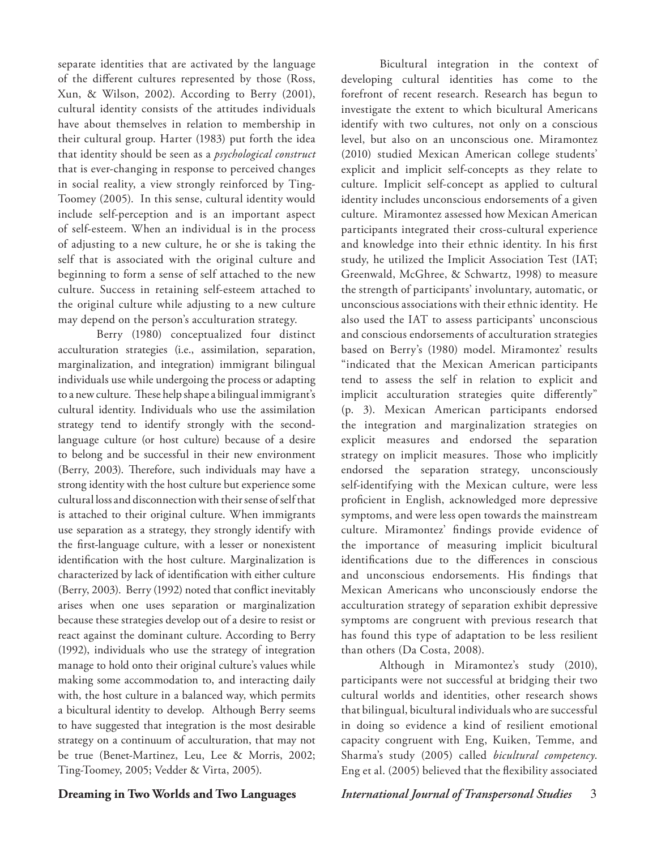separate identities that are activated by the language of the different cultures represented by those (Ross, Xun, & Wilson, 2002). According to Berry (2001), cultural identity consists of the attitudes individuals have about themselves in relation to membership in their cultural group. Harter (1983) put forth the idea that identity should be seen as a *psychological construct*  that is ever-changing in response to perceived changes in social reality, a view strongly reinforced by Ting-Toomey (2005). In this sense, cultural identity would include self-perception and is an important aspect of self-esteem. When an individual is in the process of adjusting to a new culture, he or she is taking the self that is associated with the original culture and beginning to form a sense of self attached to the new culture. Success in retaining self-esteem attached to the original culture while adjusting to a new culture may depend on the person's acculturation strategy.

Berry (1980) conceptualized four distinct acculturation strategies (i.e., assimilation, separation, marginalization, and integration) immigrant bilingual individuals use while undergoing the process or adapting to a new culture. These help shape a bilingual immigrant's cultural identity. Individuals who use the assimilation strategy tend to identify strongly with the secondlanguage culture (or host culture) because of a desire to belong and be successful in their new environment (Berry, 2003). Therefore, such individuals may have a strong identity with the host culture but experience some cultural loss and disconnection with their sense of self that is attached to their original culture. When immigrants use separation as a strategy, they strongly identify with the first-language culture, with a lesser or nonexistent identification with the host culture. Marginalization is characterized by lack of identification with either culture (Berry, 2003). Berry (1992) noted that conflict inevitably arises when one uses separation or marginalization because these strategies develop out of a desire to resist or react against the dominant culture. According to Berry (1992), individuals who use the strategy of integration manage to hold onto their original culture's values while making some accommodation to, and interacting daily with, the host culture in a balanced way, which permits a bicultural identity to develop. Although Berry seems to have suggested that integration is the most desirable strategy on a continuum of acculturation, that may not be true (Benet-Martinez, Leu, Lee & Morris, 2002; Ting-Toomey, 2005; Vedder & Virta, 2005).

Bicultural integration in the context of developing cultural identities has come to the forefront of recent research. Research has begun to investigate the extent to which bicultural Americans identify with two cultures, not only on a conscious level, but also on an unconscious one. Miramontez (2010) studied Mexican American college students' explicit and implicit self-concepts as they relate to culture. Implicit self-concept as applied to cultural identity includes unconscious endorsements of a given culture. Miramontez assessed how Mexican American participants integrated their cross-cultural experience and knowledge into their ethnic identity. In his first study, he utilized the Implicit Association Test (IAT; Greenwald, McGhree, & Schwartz, 1998) to measure the strength of participants' involuntary, automatic, or unconscious associations with their ethnic identity. He also used the IAT to assess participants' unconscious and conscious endorsements of acculturation strategies based on Berry's (1980) model. Miramontez' results "indicated that the Mexican American participants tend to assess the self in relation to explicit and implicit acculturation strategies quite differently" (p. 3). Mexican American participants endorsed the integration and marginalization strategies on explicit measures and endorsed the separation strategy on implicit measures. Those who implicitly endorsed the separation strategy, unconsciously self-identifying with the Mexican culture, were less proficient in English, acknowledged more depressive symptoms, and were less open towards the mainstream culture. Miramontez' findings provide evidence of the importance of measuring implicit bicultural identifications due to the differences in conscious and unconscious endorsements. His findings that Mexican Americans who unconsciously endorse the acculturation strategy of separation exhibit depressive symptoms are congruent with previous research that has found this type of adaptation to be less resilient than others (Da Costa, 2008).

Although in Miramontez's study (2010), participants were not successful at bridging their two cultural worlds and identities, other research shows that bilingual, bicultural individuals who are successful in doing so evidence a kind of resilient emotional capacity congruent with Eng, Kuiken, Temme, and Sharma's study (2005) called *bicultural competency*. Eng et al. (2005) believed that the flexibility associated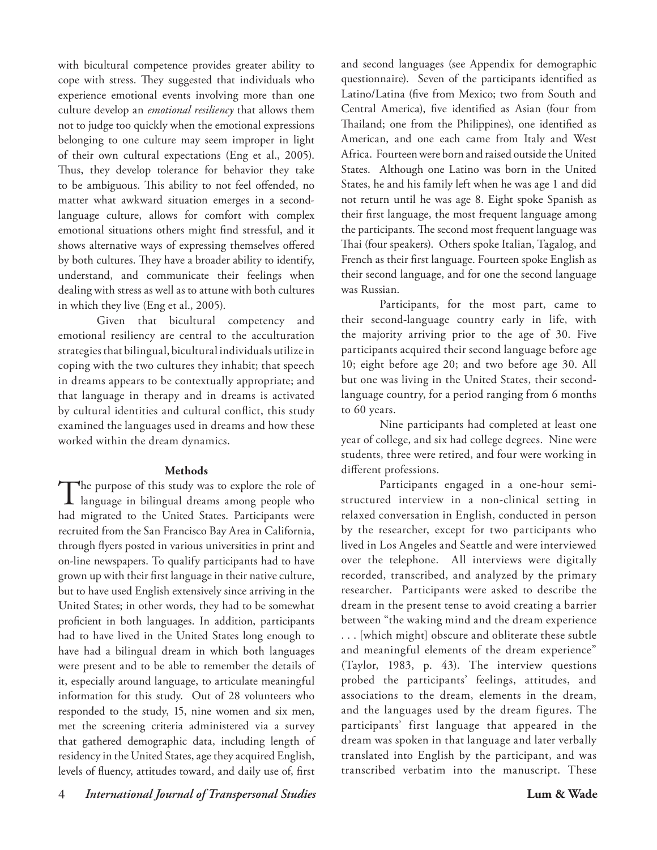with bicultural competence provides greater ability to cope with stress. They suggested that individuals who experience emotional events involving more than one culture develop an *emotional resiliency* that allows them not to judge too quickly when the emotional expressions belonging to one culture may seem improper in light of their own cultural expectations (Eng et al., 2005). Thus, they develop tolerance for behavior they take to be ambiguous. This ability to not feel offended, no matter what awkward situation emerges in a secondlanguage culture, allows for comfort with complex emotional situations others might find stressful, and it shows alternative ways of expressing themselves offered by both cultures. They have a broader ability to identify, understand, and communicate their feelings when dealing with stress as well as to attune with both cultures in which they live (Eng et al., 2005).

Given that bicultural competency and emotional resiliency are central to the acculturation strategies that bilingual, bicultural individuals utilize in coping with the two cultures they inhabit; that speech in dreams appears to be contextually appropriate; and that language in therapy and in dreams is activated by cultural identities and cultural conflict, this study examined the languages used in dreams and how these worked within the dream dynamics.

# **Methods**

The purpose of this study was to explore the role of language in bilingual dreams among people who had migrated to the United States. Participants were recruited from the San Francisco Bay Area in California, through flyers posted in various universities in print and on-line newspapers. To qualify participants had to have grown up with their first language in their native culture, but to have used English extensively since arriving in the United States; in other words, they had to be somewhat proficient in both languages. In addition, participants had to have lived in the United States long enough to have had a bilingual dream in which both languages were present and to be able to remember the details of it, especially around language, to articulate meaningful information for this study. Out of 28 volunteers who responded to the study, 15, nine women and six men, met the screening criteria administered via a survey that gathered demographic data, including length of residency in the United States, age they acquired English, levels of fluency, attitudes toward, and daily use of, first

and second languages (see Appendix for demographic questionnaire). Seven of the participants identified as Latino/Latina (five from Mexico; two from South and Central America), five identified as Asian (four from Thailand; one from the Philippines), one identified as American, and one each came from Italy and West Africa. Fourteen were born and raised outside the United States. Although one Latino was born in the United States, he and his family left when he was age 1 and did not return until he was age 8. Eight spoke Spanish as their first language, the most frequent language among the participants. The second most frequent language was Thai (four speakers). Others spoke Italian, Tagalog, and French as their first language. Fourteen spoke English as their second language, and for one the second language was Russian.

Participants, for the most part, came to their second-language country early in life, with the majority arriving prior to the age of 30. Five participants acquired their second language before age 10; eight before age 20; and two before age 30. All but one was living in the United States, their secondlanguage country, for a period ranging from 6 months to 60 years.

Nine participants had completed at least one year of college, and six had college degrees. Nine were students, three were retired, and four were working in different professions.

Participants engaged in a one-hour semistructured interview in a non-clinical setting in relaxed conversation in English, conducted in person by the researcher, except for two participants who lived in Los Angeles and Seattle and were interviewed over the telephone. All interviews were digitally recorded, transcribed, and analyzed by the primary researcher. Participants were asked to describe the dream in the present tense to avoid creating a barrier between "the waking mind and the dream experience . . . [which might] obscure and obliterate these subtle and meaningful elements of the dream experience" (Taylor, 1983, p. 43). The interview questions probed the participants' feelings, attitudes, and associations to the dream, elements in the dream, and the languages used by the dream figures. The participants' first language that appeared in the dream was spoken in that language and later verbally translated into English by the participant, and was

transcribed verbatim into the manuscript. These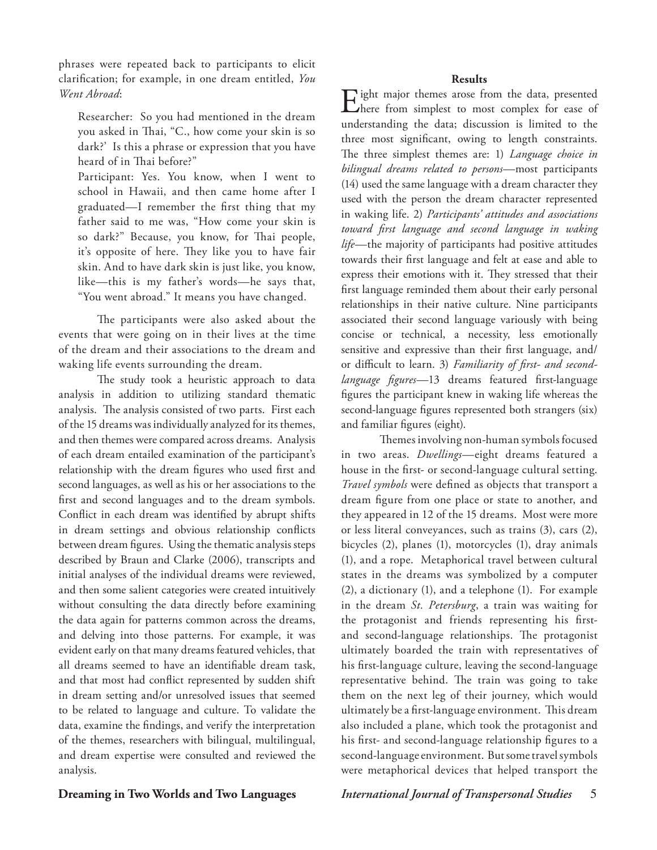phrases were repeated back to participants to elicit clarification; for example, in one dream entitled, *You Went Abroad*:

Researcher: So you had mentioned in the dream you asked in Thai, "C., how come your skin is so dark?' Is this a phrase or expression that you have heard of in Thai before?"

Participant: Yes. You know, when I went to school in Hawaii, and then came home after I graduated—I remember the first thing that my father said to me was, "How come your skin is so dark?" Because, you know, for Thai people, it's opposite of here. They like you to have fair skin. And to have dark skin is just like, you know, like—this is my father's words—he says that, "You went abroad." It means you have changed.

The participants were also asked about the events that were going on in their lives at the time of the dream and their associations to the dream and waking life events surrounding the dream.

The study took a heuristic approach to data analysis in addition to utilizing standard thematic analysis. The analysis consisted of two parts. First each of the 15 dreams was individually analyzed for its themes, and then themes were compared across dreams. Analysis of each dream entailed examination of the participant's relationship with the dream figures who used first and second languages, as well as his or her associations to the first and second languages and to the dream symbols. Conflict in each dream was identified by abrupt shifts in dream settings and obvious relationship conflicts between dream figures. Using the thematic analysis steps described by Braun and Clarke (2006), transcripts and initial analyses of the individual dreams were reviewed, and then some salient categories were created intuitively without consulting the data directly before examining the data again for patterns common across the dreams, and delving into those patterns. For example, it was evident early on that many dreams featured vehicles, that all dreams seemed to have an identifiable dream task, and that most had conflict represented by sudden shift in dream setting and/or unresolved issues that seemed to be related to language and culture. To validate the data, examine the findings, and verify the interpretation of the themes, researchers with bilingual, multilingual, and dream expertise were consulted and reviewed the analysis.

## **Results**

Eight major themes arose from the data, presented here from simplest to most complex for ease of understanding the data; discussion is limited to the three most significant, owing to length constraints. The three simplest themes are: 1) *Language choice in bilingual dreams related to persons—*most participants (14) used the same language with a dream character they used with the person the dream character represented in waking life. 2) *Participants' attitudes and associations toward first language and second language in waking life—*the majority of participants had positive attitudes towards their first language and felt at ease and able to express their emotions with it. They stressed that their first language reminded them about their early personal relationships in their native culture. Nine participants associated their second language variously with being concise or technical, a necessity, less emotionally sensitive and expressive than their first language, and/ or difficult to learn. 3) *Familiarity of first- and secondlanguage figures—*13 dreams featured first-language figures the participant knew in waking life whereas the second-language figures represented both strangers (six) and familiar figures (eight).

Themes involving non-human symbols focused in two areas. *Dwellings*—eight dreams featured a house in the first- or second-language cultural setting. *Travel symbols* were defined as objects that transport a dream figure from one place or state to another, and they appeared in 12 of the 15 dreams. Most were more or less literal conveyances, such as trains (3), cars (2), bicycles (2), planes (1), motorcycles (1), dray animals (1), and a rope. Metaphorical travel between cultural states in the dreams was symbolized by a computer (2), a dictionary (1), and a telephone (1). For example in the dream *St. Petersburg*, a train was waiting for the protagonist and friends representing his firstand second-language relationships. The protagonist ultimately boarded the train with representatives of his first-language culture, leaving the second-language representative behind. The train was going to take them on the next leg of their journey, which would ultimately be a first-language environment. This dream also included a plane, which took the protagonist and his first- and second-language relationship figures to a second-language environment. But some travel symbols were metaphorical devices that helped transport the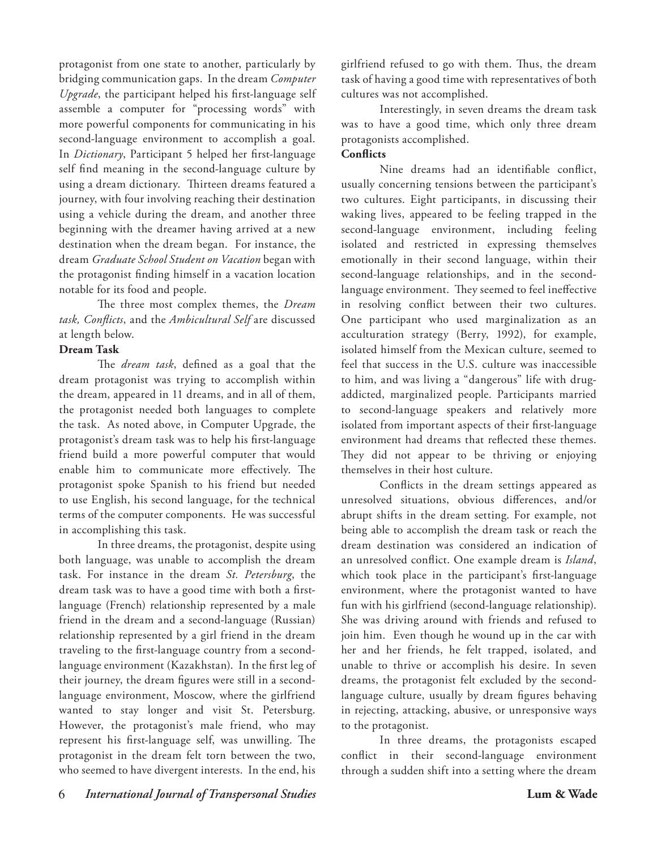protagonist from one state to another, particularly by bridging communication gaps. In the dream *Computer Upgrade*, the participant helped his first-language self assemble a computer for "processing words" with more powerful components for communicating in his second-language environment to accomplish a goal. In *Dictionary*, Participant 5 helped her first-language self find meaning in the second-language culture by using a dream dictionary. Thirteen dreams featured a journey, with four involving reaching their destination using a vehicle during the dream, and another three beginning with the dreamer having arrived at a new destination when the dream began. For instance, the dream *Graduate School Student on Vacation* began with the protagonist finding himself in a vacation location notable for its food and people.

The three most complex themes, the *Dream task, Conflicts*, and the *Ambicultural Self* are discussed at length below.

# **Dream Task**

The *dream task*, defined as a goal that the dream protagonist was trying to accomplish within the dream, appeared in 11 dreams, and in all of them, the protagonist needed both languages to complete the task. As noted above, in Computer Upgrade, the protagonist's dream task was to help his first-language friend build a more powerful computer that would enable him to communicate more effectively. The protagonist spoke Spanish to his friend but needed to use English, his second language, for the technical terms of the computer components. He was successful in accomplishing this task.

In three dreams, the protagonist, despite using both language, was unable to accomplish the dream task. For instance in the dream *St. Petersburg*, the dream task was to have a good time with both a firstlanguage (French) relationship represented by a male friend in the dream and a second-language (Russian) relationship represented by a girl friend in the dream traveling to the first-language country from a secondlanguage environment (Kazakhstan). In the first leg of their journey, the dream figures were still in a secondlanguage environment, Moscow, where the girlfriend wanted to stay longer and visit St. Petersburg. However, the protagonist's male friend, who may represent his first-language self, was unwilling. The protagonist in the dream felt torn between the two, who seemed to have divergent interests. In the end, his

girlfriend refused to go with them. Thus, the dream task of having a good time with representatives of both cultures was not accomplished.

Interestingly, in seven dreams the dream task was to have a good time, which only three dream protagonists accomplished.

# **Conflicts**

Nine dreams had an identifiable conflict, usually concerning tensions between the participant's two cultures. Eight participants, in discussing their waking lives, appeared to be feeling trapped in the second-language environment, including feeling isolated and restricted in expressing themselves emotionally in their second language, within their second-language relationships, and in the secondlanguage environment. They seemed to feel ineffective in resolving conflict between their two cultures. One participant who used marginalization as an acculturation strategy (Berry, 1992), for example, isolated himself from the Mexican culture, seemed to feel that success in the U.S. culture was inaccessible to him, and was living a "dangerous" life with drugaddicted, marginalized people. Participants married to second-language speakers and relatively more isolated from important aspects of their first-language environment had dreams that reflected these themes. They did not appear to be thriving or enjoying themselves in their host culture.

Conflicts in the dream settings appeared as unresolved situations, obvious differences, and/or abrupt shifts in the dream setting. For example, not being able to accomplish the dream task or reach the dream destination was considered an indication of an unresolved conflict. One example dream is *Island*, which took place in the participant's first-language environment, where the protagonist wanted to have fun with his girlfriend (second-language relationship). She was driving around with friends and refused to join him. Even though he wound up in the car with her and her friends, he felt trapped, isolated, and unable to thrive or accomplish his desire. In seven dreams, the protagonist felt excluded by the secondlanguage culture, usually by dream figures behaving in rejecting, attacking, abusive, or unresponsive ways to the protagonist.

In three dreams, the protagonists escaped conflict in their second-language environment through a sudden shift into a setting where the dream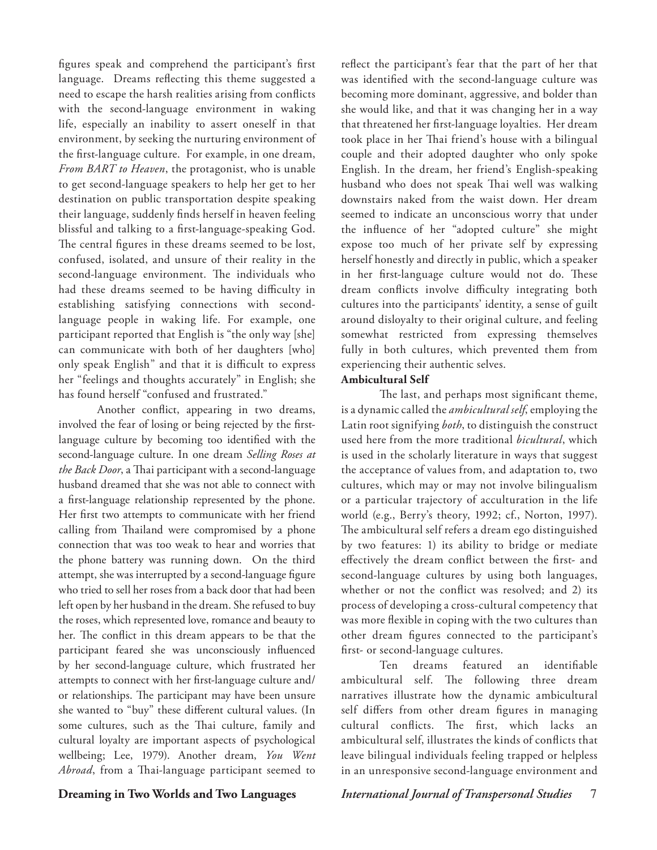figures speak and comprehend the participant's first language. Dreams reflecting this theme suggested a need to escape the harsh realities arising from conflicts with the second-language environment in waking life, especially an inability to assert oneself in that environment, by seeking the nurturing environment of the first-language culture. For example, in one dream, *From BART to Heaven*, the protagonist, who is unable to get second-language speakers to help her get to her destination on public transportation despite speaking their language, suddenly finds herself in heaven feeling blissful and talking to a first-language-speaking God. The central figures in these dreams seemed to be lost, confused, isolated, and unsure of their reality in the second-language environment. The individuals who had these dreams seemed to be having difficulty in establishing satisfying connections with secondlanguage people in waking life. For example, one participant reported that English is "the only way [she] can communicate with both of her daughters [who] only speak English" and that it is difficult to express her "feelings and thoughts accurately" in English; she has found herself "confused and frustrated."

Another conflict, appearing in two dreams, involved the fear of losing or being rejected by the firstlanguage culture by becoming too identified with the second-language culture. In one dream *Selling Roses at the Back Door*, a Thai participant with a second-language husband dreamed that she was not able to connect with a first-language relationship represented by the phone. Her first two attempts to communicate with her friend calling from Thailand were compromised by a phone connection that was too weak to hear and worries that the phone battery was running down. On the third attempt, she was interrupted by a second-language figure who tried to sell her roses from a back door that had been left open by her husband in the dream. She refused to buy the roses, which represented love, romance and beauty to her. The conflict in this dream appears to be that the participant feared she was unconsciously influenced by her second-language culture, which frustrated her attempts to connect with her first-language culture and/ or relationships. The participant may have been unsure she wanted to "buy" these different cultural values. (In some cultures, such as the Thai culture, family and cultural loyalty are important aspects of psychological wellbeing; Lee, 1979). Another dream, *You Went Abroad*, from a Thai-language participant seemed to

reflect the participant's fear that the part of her that was identified with the second-language culture was becoming more dominant, aggressive, and bolder than she would like, and that it was changing her in a way that threatened her first-language loyalties. Her dream took place in her Thai friend's house with a bilingual couple and their adopted daughter who only spoke English. In the dream, her friend's English-speaking husband who does not speak Thai well was walking downstairs naked from the waist down. Her dream seemed to indicate an unconscious worry that under the influence of her "adopted culture" she might expose too much of her private self by expressing herself honestly and directly in public, which a speaker in her first-language culture would not do. These dream conflicts involve difficulty integrating both cultures into the participants' identity, a sense of guilt around disloyalty to their original culture, and feeling somewhat restricted from expressing themselves fully in both cultures, which prevented them from experiencing their authentic selves.

# **Ambicultural Self**

The last, and perhaps most significant theme, is a dynamic called the *ambicultural self*, employing the Latin root signifying *both*, to distinguish the construct used here from the more traditional *bicultural*, which is used in the scholarly literature in ways that suggest the acceptance of values from, and adaptation to, two cultures, which may or may not involve bilingualism or a particular trajectory of acculturation in the life world (e.g., Berry's theory, 1992; cf., Norton, 1997). The ambicultural self refers a dream ego distinguished by two features: 1) its ability to bridge or mediate effectively the dream conflict between the first- and second-language cultures by using both languages, whether or not the conflict was resolved; and 2) its process of developing a cross-cultural competency that was more flexible in coping with the two cultures than other dream figures connected to the participant's first- or second-language cultures.

Ten dreams featured an identifiable ambicultural self. The following three dream narratives illustrate how the dynamic ambicultural self differs from other dream figures in managing cultural conflicts. The first, which lacks an ambicultural self, illustrates the kinds of conflicts that leave bilingual individuals feeling trapped or helpless in an unresponsive second-language environment and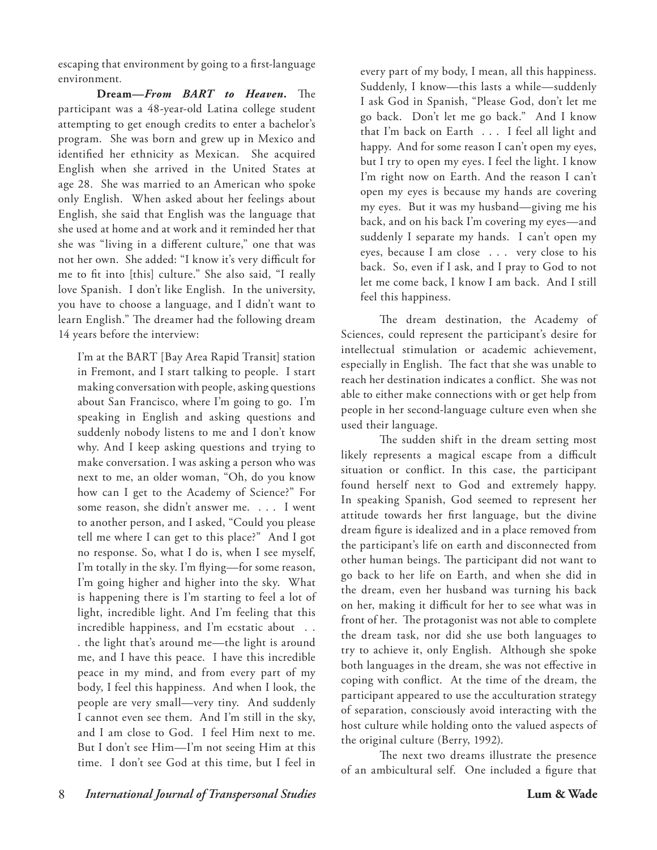escaping that environment by going to a first-language environment*.*

**Dream—***From BART to Heaven.* The participant was a 48-year-old Latina college student attempting to get enough credits to enter a bachelor's program. She was born and grew up in Mexico and identified her ethnicity as Mexican. She acquired English when she arrived in the United States at age 28. She was married to an American who spoke only English. When asked about her feelings about English, she said that English was the language that she used at home and at work and it reminded her that she was "living in a different culture," one that was not her own. She added: "I know it's very difficult for me to fit into [this] culture." She also said, "I really love Spanish. I don't like English. In the university, you have to choose a language, and I didn't want to learn English." The dreamer had the following dream 14 years before the interview:

I'm at the BART [Bay Area Rapid Transit] station in Fremont, and I start talking to people. I start making conversation with people, asking questions about San Francisco, where I'm going to go. I'm speaking in English and asking questions and suddenly nobody listens to me and I don't know why. And I keep asking questions and trying to make conversation. I was asking a person who was next to me, an older woman, "Oh, do you know how can I get to the Academy of Science?" For some reason, she didn't answer me. . . . I went to another person, and I asked, "Could you please tell me where I can get to this place?" And I got no response. So, what I do is, when I see myself, I'm totally in the sky. I'm flying—for some reason, I'm going higher and higher into the sky. What is happening there is I'm starting to feel a lot of light, incredible light. And I'm feeling that this incredible happiness, and I'm ecstatic about . . . the light that's around me—the light is around me, and I have this peace. I have this incredible peace in my mind, and from every part of my body, I feel this happiness. And when I look, the people are very small—very tiny. And suddenly I cannot even see them. And I'm still in the sky, and I am close to God. I feel Him next to me. But I don't see Him—I'm not seeing Him at this time. I don't see God at this time, but I feel in

every part of my body, I mean, all this happiness. Suddenly, I know—this lasts a while—suddenly I ask God in Spanish, "Please God, don't let me go back. Don't let me go back." And I know that I'm back on Earth . . . I feel all light and happy. And for some reason I can't open my eyes, but I try to open my eyes. I feel the light. I know I'm right now on Earth. And the reason I can't open my eyes is because my hands are covering my eyes. But it was my husband—giving me his back, and on his back I'm covering my eyes—and suddenly I separate my hands. I can't open my eyes, because I am close . . . very close to his back. So, even if I ask, and I pray to God to not let me come back, I know I am back. And I still feel this happiness.

The dream destination, the Academy of Sciences, could represent the participant's desire for intellectual stimulation or academic achievement, especially in English. The fact that she was unable to reach her destination indicates a conflict. She was not able to either make connections with or get help from people in her second-language culture even when she used their language.

The sudden shift in the dream setting most likely represents a magical escape from a difficult situation or conflict. In this case, the participant found herself next to God and extremely happy. In speaking Spanish, God seemed to represent her attitude towards her first language, but the divine dream figure is idealized and in a place removed from the participant's life on earth and disconnected from other human beings. The participant did not want to go back to her life on Earth, and when she did in the dream, even her husband was turning his back on her, making it difficult for her to see what was in front of her. The protagonist was not able to complete the dream task, nor did she use both languages to try to achieve it, only English. Although she spoke both languages in the dream, she was not effective in coping with conflict. At the time of the dream, the participant appeared to use the acculturation strategy of separation, consciously avoid interacting with the host culture while holding onto the valued aspects of the original culture (Berry, 1992).

The next two dreams illustrate the presence of an ambicultural self. One included a figure that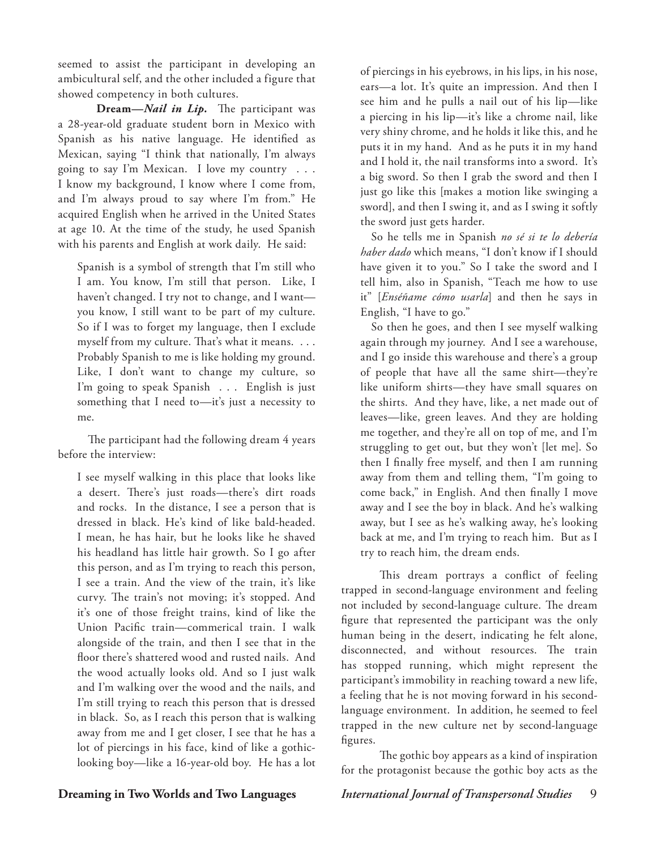seemed to assist the participant in developing an ambicultural self, and the other included a figure that showed competency in both cultures.

**Dream—***Nail in Lip.*The participant was a 28-year-old graduate student born in Mexico with Spanish as his native language. He identified as Mexican, saying "I think that nationally, I'm always going to say I'm Mexican. I love my country . . . I know my background, I know where I come from, and I'm always proud to say where I'm from." He acquired English when he arrived in the United States at age 10. At the time of the study, he used Spanish with his parents and English at work daily. He said:

Spanish is a symbol of strength that I'm still who I am. You know, I'm still that person. Like, I haven't changed. I try not to change, and I want you know, I still want to be part of my culture. So if I was to forget my language, then I exclude myself from my culture. That's what it means. . . . Probably Spanish to me is like holding my ground. Like, I don't want to change my culture, so I'm going to speak Spanish . . . English is just something that I need to—it's just a necessity to me.

The participant had the following dream 4 years before the interview:

I see myself walking in this place that looks like a desert. There's just roads—there's dirt roads and rocks. In the distance, I see a person that is dressed in black. He's kind of like bald-headed. I mean, he has hair, but he looks like he shaved his headland has little hair growth. So I go after this person, and as I'm trying to reach this person, I see a train. And the view of the train, it's like curvy. The train's not moving; it's stopped. And it's one of those freight trains, kind of like the Union Pacific train—commerical train. I walk alongside of the train, and then I see that in the floor there's shattered wood and rusted nails. And the wood actually looks old. And so I just walk and I'm walking over the wood and the nails, and I'm still trying to reach this person that is dressed in black. So, as I reach this person that is walking away from me and I get closer, I see that he has a lot of piercings in his face, kind of like a gothiclooking boy—like a 16-year-old boy. He has a lot

of piercings in his eyebrows, in his lips, in his nose, ears—a lot. It's quite an impression. And then I see him and he pulls a nail out of his lip—like a piercing in his lip—it's like a chrome nail, like very shiny chrome, and he holds it like this, and he puts it in my hand. And as he puts it in my hand and I hold it, the nail transforms into a sword. It's a big sword. So then I grab the sword and then I just go like this [makes a motion like swinging a sword], and then I swing it, and as I swing it softly the sword just gets harder.

So he tells me in Spanish *no sé si te lo debería haber dado* which means, "I don't know if I should have given it to you." So I take the sword and I tell him, also in Spanish, "Teach me how to use it" [*Enséñame cómo usarla*] and then he says in English, "I have to go."

So then he goes, and then I see myself walking again through my journey. And I see a warehouse, and I go inside this warehouse and there's a group of people that have all the same shirt—they're like uniform shirts—they have small squares on the shirts. And they have, like, a net made out of leaves—like, green leaves. And they are holding me together, and they're all on top of me, and I'm struggling to get out, but they won't [let me]. So then I finally free myself, and then I am running away from them and telling them, "I'm going to come back," in English. And then finally I move away and I see the boy in black. And he's walking away, but I see as he's walking away, he's looking back at me, and I'm trying to reach him. But as I try to reach him, the dream ends.

This dream portrays a conflict of feeling trapped in second-language environment and feeling not included by second-language culture. The dream figure that represented the participant was the only human being in the desert, indicating he felt alone, disconnected, and without resources. The train has stopped running, which might represent the participant's immobility in reaching toward a new life, a feeling that he is not moving forward in his secondlanguage environment. In addition, he seemed to feel trapped in the new culture net by second-language figures.

The gothic boy appears as a kind of inspiration for the protagonist because the gothic boy acts as the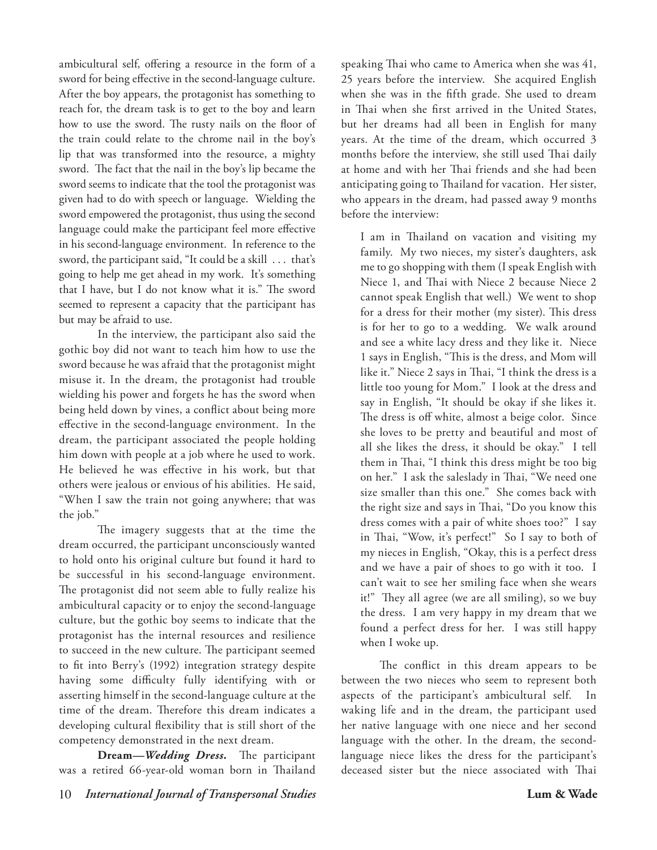ambicultural self, offering a resource in the form of a sword for being effective in the second-language culture. After the boy appears, the protagonist has something to reach for, the dream task is to get to the boy and learn how to use the sword. The rusty nails on the floor of the train could relate to the chrome nail in the boy's lip that was transformed into the resource, a mighty sword. The fact that the nail in the boy's lip became the sword seems to indicate that the tool the protagonist was given had to do with speech or language. Wielding the sword empowered the protagonist, thus using the second language could make the participant feel more effective in his second-language environment. In reference to the sword, the participant said, "It could be a skill . . . that's going to help me get ahead in my work. It's something that I have, but I do not know what it is." The sword seemed to represent a capacity that the participant has but may be afraid to use.

In the interview, the participant also said the gothic boy did not want to teach him how to use the sword because he was afraid that the protagonist might misuse it. In the dream, the protagonist had trouble wielding his power and forgets he has the sword when being held down by vines, a conflict about being more effective in the second-language environment. In the dream, the participant associated the people holding him down with people at a job where he used to work. He believed he was effective in his work, but that others were jealous or envious of his abilities. He said, "When I saw the train not going anywhere; that was the job."

The imagery suggests that at the time the dream occurred, the participant unconsciously wanted to hold onto his original culture but found it hard to be successful in his second-language environment. The protagonist did not seem able to fully realize his ambicultural capacity or to enjoy the second-language culture, but the gothic boy seems to indicate that the protagonist has the internal resources and resilience to succeed in the new culture. The participant seemed to fit into Berry's (1992) integration strategy despite having some difficulty fully identifying with or asserting himself in the second-language culture at the time of the dream. Therefore this dream indicates a developing cultural flexibility that is still short of the competency demonstrated in the next dream.

**Dream—***Wedding Dress***.** The participant was a retired 66-year-old woman born in Thailand speaking Thai who came to America when she was 41, 25 years before the interview. She acquired English when she was in the fifth grade. She used to dream in Thai when she first arrived in the United States, but her dreams had all been in English for many years. At the time of the dream, which occurred 3 months before the interview, she still used Thai daily at home and with her Thai friends and she had been anticipating going to Thailand for vacation. Her sister, who appears in the dream, had passed away 9 months before the interview:

I am in Thailand on vacation and visiting my family. My two nieces, my sister's daughters, ask me to go shopping with them (I speak English with Niece 1, and Thai with Niece 2 because Niece 2 cannot speak English that well.) We went to shop for a dress for their mother (my sister). This dress is for her to go to a wedding. We walk around and see a white lacy dress and they like it. Niece 1 says in English, "This is the dress, and Mom will like it." Niece 2 says in Thai, "I think the dress is a little too young for Mom." I look at the dress and say in English, "It should be okay if she likes it. The dress is off white, almost a beige color. Since she loves to be pretty and beautiful and most of all she likes the dress, it should be okay." I tell them in Thai, "I think this dress might be too big on her." I ask the saleslady in Thai, "We need one size smaller than this one." She comes back with the right size and says in Thai, "Do you know this dress comes with a pair of white shoes too?" I say in Thai, "Wow, it's perfect!" So I say to both of my nieces in English, "Okay, this is a perfect dress and we have a pair of shoes to go with it too. I can't wait to see her smiling face when she wears it!" They all agree (we are all smiling), so we buy the dress. I am very happy in my dream that we found a perfect dress for her. I was still happy when I woke up.

The conflict in this dream appears to be between the two nieces who seem to represent both aspects of the participant's ambicultural self. In waking life and in the dream, the participant used her native language with one niece and her second language with the other. In the dream, the secondlanguage niece likes the dress for the participant's deceased sister but the niece associated with Thai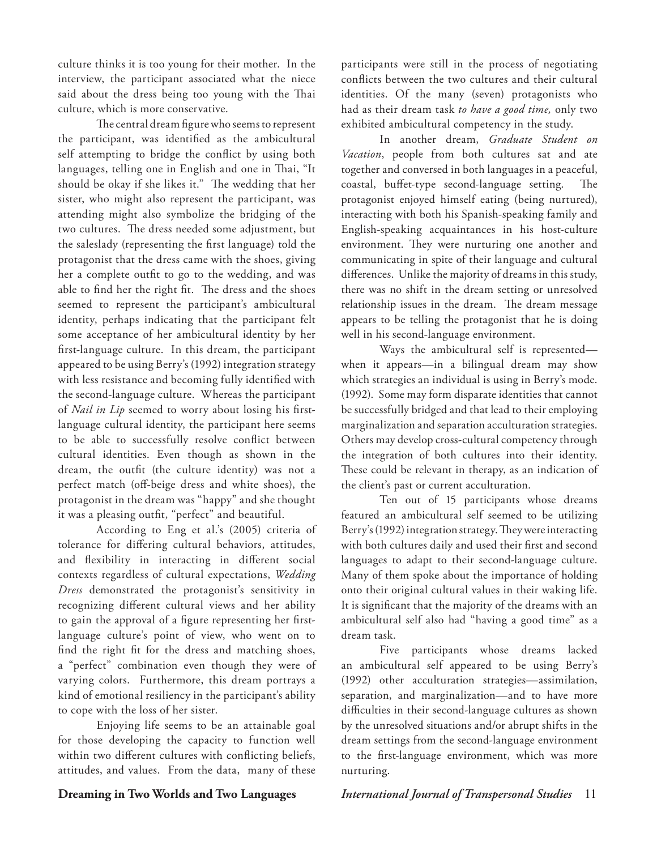culture thinks it is too young for their mother. In the interview, the participant associated what the niece said about the dress being too young with the Thai culture, which is more conservative.

The central dream figure who seems to represent the participant, was identified as the ambicultural self attempting to bridge the conflict by using both languages, telling one in English and one in Thai, "It should be okay if she likes it." The wedding that her sister, who might also represent the participant, was attending might also symbolize the bridging of the two cultures. The dress needed some adjustment, but the saleslady (representing the first language) told the protagonist that the dress came with the shoes, giving her a complete outfit to go to the wedding, and was able to find her the right fit. The dress and the shoes seemed to represent the participant's ambicultural identity, perhaps indicating that the participant felt some acceptance of her ambicultural identity by her first-language culture. In this dream, the participant appeared to be using Berry's (1992) integration strategy with less resistance and becoming fully identified with the second-language culture. Whereas the participant of *Nail in Lip* seemed to worry about losing his firstlanguage cultural identity, the participant here seems to be able to successfully resolve conflict between cultural identities. Even though as shown in the dream, the outfit (the culture identity) was not a perfect match (off-beige dress and white shoes), the protagonist in the dream was "happy" and she thought it was a pleasing outfit, "perfect" and beautiful.

According to Eng et al.'s (2005) criteria of tolerance for differing cultural behaviors, attitudes, and flexibility in interacting in different social contexts regardless of cultural expectations, *Wedding Dress* demonstrated the protagonist's sensitivity in recognizing different cultural views and her ability to gain the approval of a figure representing her firstlanguage culture's point of view, who went on to find the right fit for the dress and matching shoes, a "perfect" combination even though they were of varying colors. Furthermore, this dream portrays a kind of emotional resiliency in the participant's ability to cope with the loss of her sister.

Enjoying life seems to be an attainable goal for those developing the capacity to function well within two different cultures with conflicting beliefs, attitudes, and values. From the data, many of these

participants were still in the process of negotiating conflicts between the two cultures and their cultural identities. Of the many (seven) protagonists who had as their dream task *to have a good time,* only two exhibited ambicultural competency in the study.

In another dream, *Graduate Student on Vacation*, people from both cultures sat and ate together and conversed in both languages in a peaceful, coastal, buffet-type second-language setting. The protagonist enjoyed himself eating (being nurtured), interacting with both his Spanish-speaking family and English-speaking acquaintances in his host-culture environment. They were nurturing one another and communicating in spite of their language and cultural differences. Unlike the majority of dreams in this study, there was no shift in the dream setting or unresolved relationship issues in the dream. The dream message appears to be telling the protagonist that he is doing well in his second-language environment.

Ways the ambicultural self is represented when it appears—in a bilingual dream may show which strategies an individual is using in Berry's mode. (1992). Some may form disparate identities that cannot be successfully bridged and that lead to their employing marginalization and separation acculturation strategies. Others may develop cross-cultural competency through the integration of both cultures into their identity. These could be relevant in therapy, as an indication of the client's past or current acculturation.

Ten out of 15 participants whose dreams featured an ambicultural self seemed to be utilizing Berry's (1992) integration strategy. They were interacting with both cultures daily and used their first and second languages to adapt to their second-language culture. Many of them spoke about the importance of holding onto their original cultural values in their waking life. It is significant that the majority of the dreams with an ambicultural self also had "having a good time" as a dream task.

Five participants whose dreams lacked an ambicultural self appeared to be using Berry's (1992) other acculturation strategies—assimilation, separation, and marginalization—and to have more difficulties in their second-language cultures as shown by the unresolved situations and/or abrupt shifts in the dream settings from the second-language environment to the first-language environment, which was more nurturing.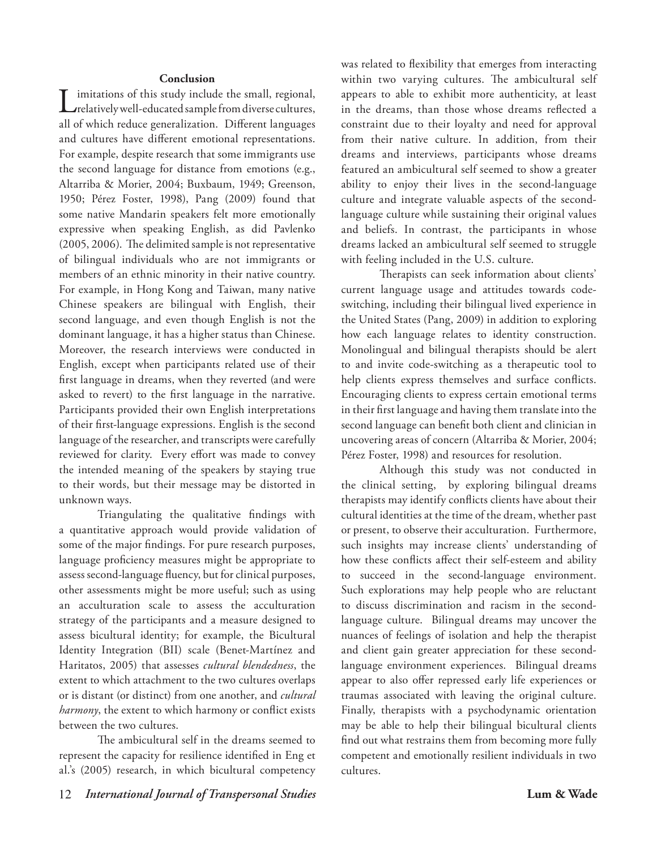# **Conclusion**

imitations of this study include the small, regional, relatively well-educated sample from diverse cultures, all of which reduce generalization. Different languages and cultures have different emotional representations. For example, despite research that some immigrants use the second language for distance from emotions (e.g., Altarriba & Morier, 2004; Buxbaum, 1949; Greenson, 1950; Pérez Foster, 1998), Pang (2009) found that some native Mandarin speakers felt more emotionally expressive when speaking English, as did Pavlenko (2005, 2006). The delimited sample is not representative of bilingual individuals who are not immigrants or members of an ethnic minority in their native country. For example, in Hong Kong and Taiwan, many native Chinese speakers are bilingual with English, their second language, and even though English is not the dominant language, it has a higher status than Chinese. Moreover, the research interviews were conducted in English, except when participants related use of their first language in dreams, when they reverted (and were asked to revert) to the first language in the narrative. Participants provided their own English interpretations of their first-language expressions. English is the second language of the researcher, and transcripts were carefully reviewed for clarity. Every effort was made to convey the intended meaning of the speakers by staying true to their words, but their message may be distorted in unknown ways.

Triangulating the qualitative findings with a quantitative approach would provide validation of some of the major findings. For pure research purposes, language proficiency measures might be appropriate to assess second-language fluency, but for clinical purposes, other assessments might be more useful; such as using an acculturation scale to assess the acculturation strategy of the participants and a measure designed to assess bicultural identity; for example, the Bicultural Identity Integration (BII) scale (Benet-Martínez and Haritatos, 2005) that assesses *cultural blendedness*, the extent to which attachment to the two cultures overlaps or is distant (or distinct) from one another, and *cultural harmony*, the extent to which harmony or conflict exists between the two cultures.

The ambicultural self in the dreams seemed to represent the capacity for resilience identified in Eng et al.'s (2005) research, in which bicultural competency was related to flexibility that emerges from interacting within two varying cultures. The ambicultural self appears to able to exhibit more authenticity, at least in the dreams, than those whose dreams reflected a constraint due to their loyalty and need for approval from their native culture. In addition, from their dreams and interviews, participants whose dreams featured an ambicultural self seemed to show a greater ability to enjoy their lives in the second-language culture and integrate valuable aspects of the secondlanguage culture while sustaining their original values and beliefs. In contrast, the participants in whose dreams lacked an ambicultural self seemed to struggle with feeling included in the U.S. culture.

Therapists can seek information about clients' current language usage and attitudes towards codeswitching, including their bilingual lived experience in the United States (Pang, 2009) in addition to exploring how each language relates to identity construction. Monolingual and bilingual therapists should be alert to and invite code-switching as a therapeutic tool to help clients express themselves and surface conflicts. Encouraging clients to express certain emotional terms in their first language and having them translate into the second language can benefit both client and clinician in uncovering areas of concern (Altarriba & Morier, 2004; Pérez Foster, 1998) and resources for resolution.

Although this study was not conducted in the clinical setting, by exploring bilingual dreams therapists may identify conflicts clients have about their cultural identities at the time of the dream, whether past or present, to observe their acculturation. Furthermore, such insights may increase clients' understanding of how these conflicts affect their self-esteem and ability to succeed in the second-language environment. Such explorations may help people who are reluctant to discuss discrimination and racism in the secondlanguage culture. Bilingual dreams may uncover the nuances of feelings of isolation and help the therapist and client gain greater appreciation for these secondlanguage environment experiences. Bilingual dreams appear to also offer repressed early life experiences or traumas associated with leaving the original culture. Finally, therapists with a psychodynamic orientation may be able to help their bilingual bicultural clients find out what restrains them from becoming more fully competent and emotionally resilient individuals in two cultures.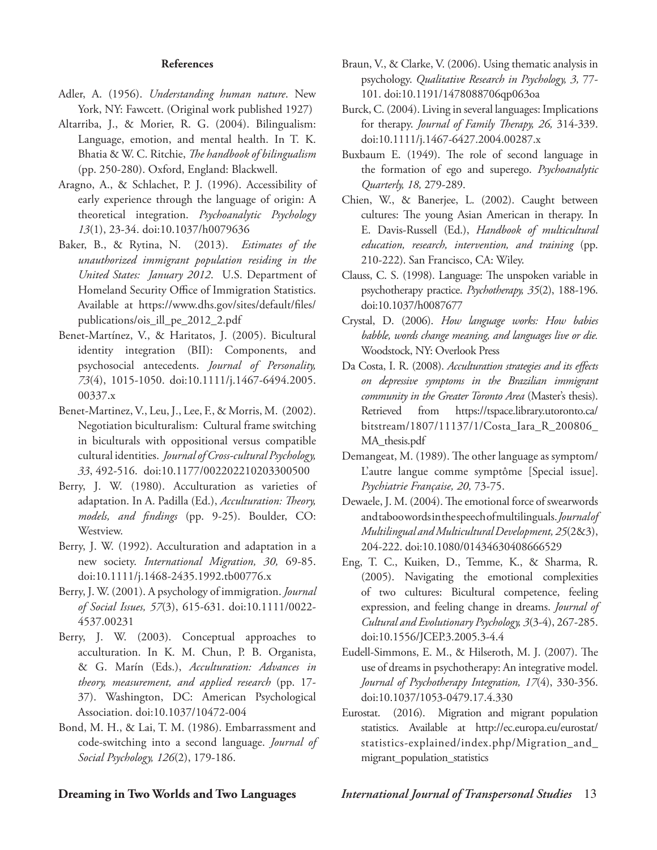# **References**

- Adler, A. (1956). *Understanding human nature*. New York, NY: Fawcett. (Original work published 1927)
- Altarriba, J., & Morier, R. G. (2004). Bilingualism: Language, emotion, and mental health. In T. K. Bhatia & W. C. Ritchie, *The handbook of bilingualism* (pp. 250-280). Oxford, England: Blackwell.
- Aragno, A., & Schlachet, P. J. (1996). Accessibility of early experience through the language of origin: A theoretical integration. *Psychoanalytic Psychology 13*(1), 23-34. doi:10.1037/h0079636
- Baker, B., & Rytina, N. (2013). *Estimates of the unauthorized immigrant population residing in the United States: January 2012*. U.S. Department of Homeland Security Office of Immigration Statistics. Available at https://www.dhs.gov/sites/default/files/ publications/ois\_ill\_pe\_2012\_2.pdf
- Benet-Martínez, V., & Haritatos, J. (2005). Bicultural identity integration (BII): Components, and psychosocial antecedents. *Journal of Personality, 73*(4), 1015-1050. doi:10.1111/j.1467-6494.2005. 00337.x
- Benet-Martinez, V., Leu, J., Lee, F., & Morris, M. (2002). Negotiation biculturalism: Cultural frame switching in biculturals with oppositional versus compatible cultural identities. *Journal of Cross-cultural Psychology, 33*, 492-516. doi:10.1177/002202210203300500
- Berry, J. W. (1980). Acculturation as varieties of adaptation. In A. Padilla (Ed.), *Acculturation: Theory, models, and findings* (pp. 9-25). Boulder, CO: Westview.
- Berry, J. W. (1992). Acculturation and adaptation in a new society. *International Migration, 30,* 69-85. doi:10.1111/j.1468-2435.1992.tb00776.x
- Berry, J. W. (2001). A psychology of immigration. *Journal of Social Issues, 57*(3), 615-631. doi:10.1111/0022- 4537.00231
- Berry, J. W. (2003). Conceptual approaches to acculturation. In K. M. Chun, P. B. Organista, & G. Marín (Eds.), *Acculturation: Advances in theory, measurement, and applied research* (pp. 17- 37). Washington, DC: American Psychological Association. doi:10.1037/10472-004
- Bond, M. H., & Lai, T. M. (1986). Embarrassment and code-switching into a second language. *Journal of Social Psychology, 126*(2), 179-186.
- Braun, V., & Clarke, V. (2006). Using thematic analysis in psychology. *Qualitative Research in Psychology, 3,* 77- 101. doi:10.1191/1478088706qp063oa
- Burck, C. (2004). Living in several languages: Implications for therapy. *Journal of Family Therapy, 26,* 314-339. doi:10.1111/j.1467-6427.2004.00287.x
- Buxbaum E. (1949). The role of second language in the formation of ego and superego. *Psychoanalytic Quarterly, 18,* 279-289.
- Chien, W., & Banerjee, L. (2002). Caught between cultures: The young Asian American in therapy. In E. Davis-Russell (Ed.), *Handbook of multicultural education, research, intervention, and training* (pp. 210-222). San Francisco, CA: Wiley.
- Clauss, C. S. (1998). Language: The unspoken variable in psychotherapy practice. *Psychotherapy, 35*(2), 188-196. doi:10.1037/h0087677
- Crystal, D. (2006). *How language works: How babies babble, words change meaning, and languages live or die.*  Woodstock, NY: Overlook Press
- Da Costa, I. R. (2008). *Acculturation strategies and its effects on depressive symptoms in the Brazilian immigrant community in the Greater Toronto Area* (Master's thesis). Retrieved from https://tspace.library.utoronto.ca/ bitstream/1807/11137/1/Costa\_Iara\_R\_200806\_ MA\_thesis.pdf
- Demangeat, M. (1989). The other language as symptom/ L'autre langue comme symptôme [Special issue]. *Psychiatrie Française, 20,* 73-75.
- Dewaele, J. M. (2004). The emotional force of swearwords and taboo words in the speech of multilinguals. *Journal of Multilingual and Multicultural Development, 25*(2&3), 204-222. doi:10.1080/01434630408666529
- Eng, T. C., Kuiken, D., Temme, K., & Sharma, R. (2005). Navigating the emotional complexities of two cultures: Bicultural competence, feeling expression, and feeling change in dreams. *Journal of Cultural and Evolutionary Psychology, 3*(3-4), 267-285. doi:10.1556/JCEP.3.2005.3-4.4
- Eudell-Simmons, E. M., & Hilseroth, M. J. (2007). The use of dreams in psychotherapy: An integrative model. *Journal of Psychotherapy Integration, 17*(4), 330-356. doi:10.1037/1053-0479.17.4.330
- Eurostat. (2016). Migration and migrant population statistics. Available at http://ec.europa.eu/eurostat/ statistics-explained/index.php/Migration\_and\_ migrant\_population\_statistics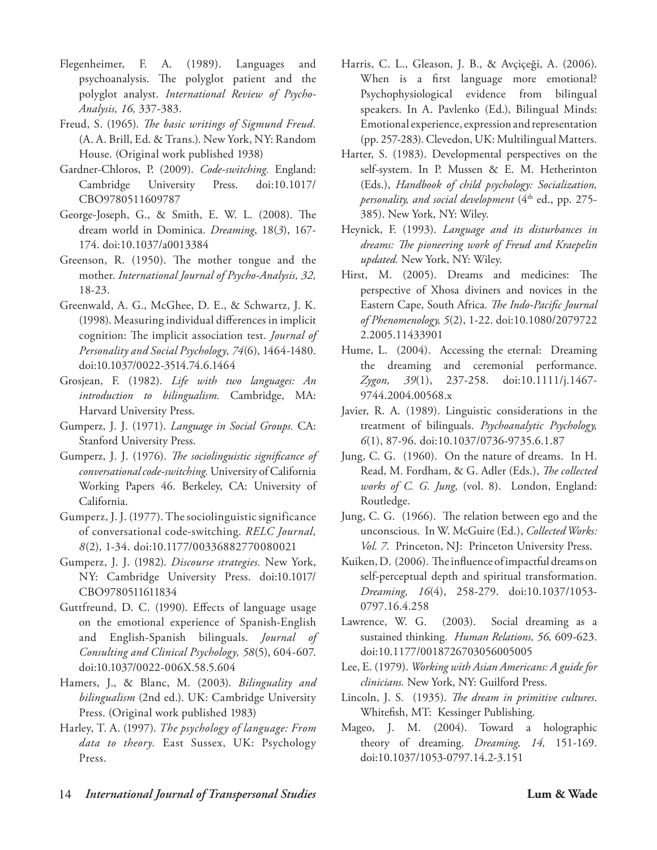- Flegenheimer, F. A. (1989). Languages and psychoanalysis. The polyglot patient and the polyglot analyst. *International Review of Psycho-Analysis, 16,* 337-383.
- Freud, S. (1965). *The basic writings of Sigmund Freud.* (A. A. Brill, Ed. & Trans.). New York, NY: Random House. (Original work published 1938)
- Gardner-Chloros, P. (2009). *Code-switching.* England: Cambridge University Press. doi:10.1017/ CBO9780511609787
- George-Joseph, G., & Smith, E. W. L. (2008). The dream world in Dominica. *Dreaming*, 18(*3*), 167- 174. doi:10.1037/a0013384
- Greenson, R. (1950). The mother tongue and the mother. *International Journal of Psycho-Analysis, 32,* 18-23.
- Greenwald, A. G., McGhee, D. E., & Schwartz, J. K. (1998). Measuring individual differences in implicit cognition: The implicit association test. *Journal of Personality and Social Psychology, 74*(6), 1464-1480. doi:10.1037/0022-3514.74.6.1464
- Grosjean, F. (1982). *Life with two languages: An introduction to bilingualism.* Cambridge, MA: Harvard University Press.
- Gumperz, J. J. (1971). *Language in Social Groups.* CA: Stanford University Press.
- Gumperz, J. J. (1976). *The sociolinguistic significance of conversational code-switching.* University of California Working Papers 46. Berkeley, CA: University of California.
- Gumperz, J. J. (1977). The sociolinguistic significance of conversational code-switching. *RELC Journal, 8*(2), 1-34. doi:10.1177/00336882770080021
- Gumperz, J. J. (1982). *Discourse strategies.* New York, NY: Cambridge University Press. doi:10.1017/ CBO9780511611834
- Guttfreund, D. C. (1990). Effects of language usage on the emotional experience of Spanish-English and English-Spanish bilinguals. *Journal of Consulting and Clinical Psychology, 58*(5), 604-607. doi:10.1037/0022-006X.58.5.604
- Hamers, J., & Blanc, M. (2003). *Bilinguality and bilingualism* (2nd ed.). UK: Cambridge University Press. (Original work published 1983)
- Harley, T. A. (1997). *The psychology of language: From data to theory.* East Sussex, UK: Psychology Press.
- Harris, C. L., Gleason, J. B., & Avçiçeği, A. (2006). When is a first language more emotional? Psychophysiological evidence from bilingual speakers. In A. Pavlenko (Ed.), Bilingual Minds: Emotional experience, expression and representation (pp. 257-283). Clevedon, UK: Multilingual Matters.
- Harter, S. (1983). Developmental perspectives on the self-system. In P. Mussen & E. M. Hetherinton (Eds.), *Handbook of child psychology: Socialization, personality, and social development* (4<sup>th</sup> ed., pp. 275-385). New York, NY: Wiley.
- Heynick, F. (1993). *Language and its disturbances in dreams: The pioneering work of Freud and Kraepelin updated.* New York, NY: Wiley.
- Hirst, M. (2005). Dreams and medicines: The perspective of Xhosa diviners and novices in the Eastern Cape, South Africa. *The Indo-Pacific Journal of Phenomenology, 5*(2), 1-22. doi:10.1080/2079722 2.2005.11433901
- Hume, L. (2004). Accessing the eternal: Dreaming the dreaming and ceremonial performance. *Zygon, 39*(1), 237-258. doi:10.1111/j.1467- 9744.2004.00568.x
- Javier, R. A. (1989). Linguistic considerations in the treatment of bilinguals. *Psychoanalytic Psychology, 6*(1), 87-96. doi:10.1037/0736-9735.6.1.87
- Jung, C. G. (1960). On the nature of dreams. In H. Read, M. Fordham, & G. Adler (Eds.), *The collected works of C. G. Jung,* (vol. 8). London, England: Routledge.
- Jung, C. G. (1966). The relation between ego and the unconscious. In W. McGuire (Ed.), *Collected Works: Vol. 7*. Princeton, NJ: Princeton University Press.
- Kuiken, D. (2006). The influence of impactful dreams on self-perceptual depth and spiritual transformation. *Dreaming, 16*(4), 258-279. doi:10.1037/1053- 0797.16.4.258
- Lawrence, W. G. (2003). Social dreaming as a sustained thinking. *Human Relations, 56,* 609-623. doi:10.1177/0018726703056005005
- Lee, E. (1979). *Working with Asian Americans: A guide for clinicians.* New York, NY: Guilford Press.
- Lincoln, J. S. (1935). *The dream in primitive cultures*. Whitefish, MT: Kessinger Publishing.
- Mageo, J. M. (2004). Toward a holographic theory of dreaming. *Dreaming, 14,* 151-169. doi:10.1037/1053-0797.14.2-3.151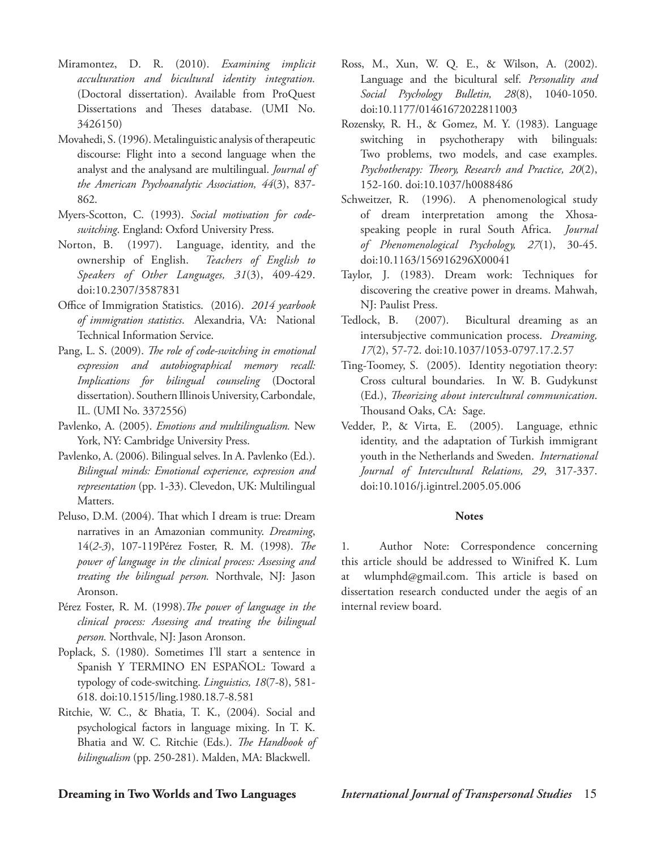- Miramontez, D. R. (2010). *Examining implicit acculturation and bicultural identity integration.* (Doctoral dissertation). Available from ProQuest Dissertations and Theses database. (UMI No. 3426150)
- Movahedi, S. (1996). Metalinguistic analysis of therapeutic discourse: Flight into a second language when the analyst and the analysand are multilingual. *Journal of the American Psychoanalytic Association, 44*(3), 837- 862.
- Myers-Scotton, C. (1993). *Social motivation for codeswitching*. England: Oxford University Press.
- Norton, B. (1997). Language, identity, and the ownership of English. *Teachers of English to Speakers of Other Languages, 31*(3), 409-429. doi:10.2307/3587831
- Office of Immigration Statistics. (2016). *2014 yearbook of immigration statistics*. Alexandria, VA: National Technical Information Service.
- Pang, L. S. (2009). *The role of code-switching in emotional expression and autobiographical memory recall: Implications for bilingual counseling* (Doctoral dissertation). Southern Illinois University, Carbondale, IL. (UMI No. 3372556)
- Pavlenko, A. (2005). *Emotions and multilingualism.* New York, NY: Cambridge University Press.
- Pavlenko, A. (2006). Bilingual selves. In A. Pavlenko (Ed.). *Bilingual minds: Emotional experience, expression and representation* (pp. 1-33). Clevedon, UK: Multilingual Matters.
- Peluso, D.M. (2004). That which I dream is true: Dream narratives in an Amazonian community. *Dreaming*, 14(*2-3*), 107-119Pérez Foster, R. M. (1998). *The power of language in the clinical process: Assessing and treating the bilingual person.* Northvale, NJ: Jason Aronson.
- Pérez Foster, R. M. (1998).*The power of language in the clinical process: Assessing and treating the bilingual person.* Northvale, NJ: Jason Aronson.
- Poplack, S. (1980). Sometimes I'll start a sentence in Spanish Y TERMINO EN ESPAÑOL: Toward a typology of code-switching. *Linguistics, 18*(7-8), 581- 618. doi:10.1515/ling.1980.18.7-8.581
- Ritchie, W. C., & Bhatia, T. K., (2004). Social and psychological factors in language mixing. In T. K. Bhatia and W. C. Ritchie (Eds.). *The Handbook of bilingualism* (pp. 250-281). Malden, MA: Blackwell.
- Ross, M., Xun, W. Q. E., & Wilson, A. (2002). Language and the bicultural self. *Personality and Social Psychology Bulletin, 28*(8), 1040-1050. doi:10.1177/01461672022811003
- Rozensky, R. H., & Gomez, M. Y. (1983). Language switching in psychotherapy with bilinguals: Two problems, two models, and case examples. *Psychotherapy: Theory, Research and Practice, 20*(2), 152-160. doi:10.1037/h0088486
- Schweitzer, R. (1996). A phenomenological study of dream interpretation among the Xhosaspeaking people in rural South Africa. *Journal of Phenomenological Psychology, 27*(1), 30-45. doi:10.1163/156916296X00041
- Taylor, J. (1983). Dream work: Techniques for discovering the creative power in dreams. Mahwah, NJ: Paulist Press.
- Tedlock, B. (2007). Bicultural dreaming as an intersubjective communication process. *Dreaming, 17*(2), 57-72. doi:10.1037/1053-0797.17.2.57
- Ting-Toomey, S. (2005). Identity negotiation theory: Cross cultural boundaries. In W. B. Gudykunst (Ed.), *Theorizing about intercultural communication*. Thousand Oaks, CA: Sage.
- Vedder, P., & Virta, E. (2005). Language, ethnic identity, and the adaptation of Turkish immigrant youth in the Netherlands and Sweden. *International Journal of Intercultural Relations, 29*, 317-337. doi:10.1016/j.igintrel.2005.05.006

# **Notes**

1. Author Note: Correspondence concerning this article should be addressed to Winifred K. Lum at wlumphd@gmail.com. This article is based on dissertation research conducted under the aegis of an internal review board.